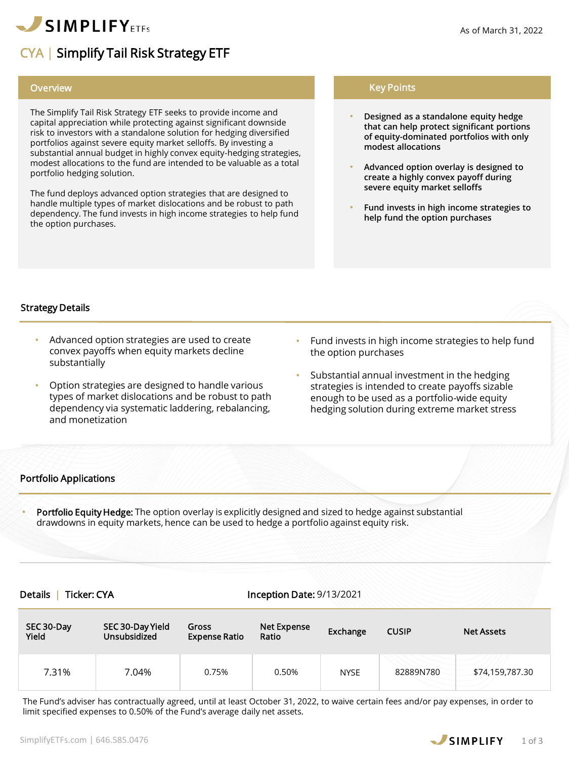

# CYA | Simplify Tail Risk Strategy ETF

### **Overview**

The Simplify Tail Risk Strategy ETF seeks to provide income and capital appreciation while protecting against significant downside risk to investors with a standalone solution for hedging diversified portfolios against severe equity market selloffs. By investing a substantial annual budget in highly convex equity-hedging strategies, modest allocations to the fund are intended to be valuable as a total portfolio hedging solution.

The fund deploys advanced option strategies that are designed to handle multiple types of market dislocations and be robust to path dependency. The fund invests in high income strategies to help fund the option purchases.

# Key Points

- **Designed as a standalone equity hedge that can help protect significant portions of equity-dominated portfolios with only modest allocations**
- **Advanced option overlay is designed to create a highly convex payoff during severe equity market selloffs**
- **Fund invests in high income strategies to help fund the option purchases**

# Strategy Details

- Advanced option strategies are used to create convex payoffs when equity markets decline substantially
- Option strategies are designed to handle various types of market dislocations and be robust to path dependency via systematic laddering, rebalancing, and monetization
- Fund invests in high income strategies to help fund the option purchases
- Substantial annual investment in the hedging strategies is intended to create payoffs sizable enough to be used as a portfolio-wide equity hedging solution during extreme market stress

# Portfolio Applications

Portfolio Equity Hedge: The option overlay is explicitly designed and sized to hedge against substantial drawdowns in equity markets, hence can be used to hedge a portfolio against equity risk.

### Details | Ticker: CYA Inception Date: 9/13/2021

| SEC 30-Day<br>Yield | SEC 30-Day Yield<br>Unsubsidized | Gross<br><b>Expense Ratio</b> | Net Expense<br>Ratio | Exchange    | <b>CUSIP</b> | <b>Net Assets</b> |
|---------------------|----------------------------------|-------------------------------|----------------------|-------------|--------------|-------------------|
| 7.31%               | 7.04%                            | 0.75%                         | 0.50%                | <b>NYSE</b> | 82889N780    | \$74,159,787.30   |

The Fund's adviser has contractually agreed, until at least October 31, 2022, to waive certain fees and/or pay expenses, in order to limit specified expenses to 0.50% of the Fund's average daily net assets.

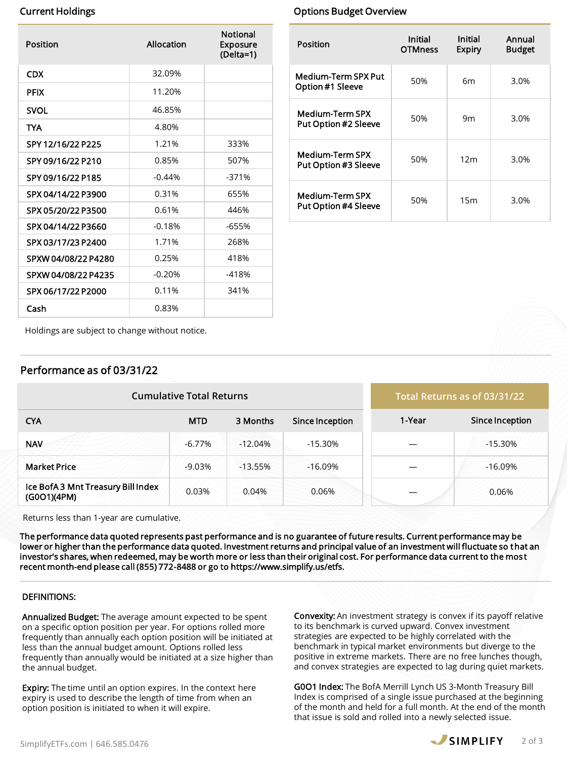| Position            | Allocation | <b>Notional</b><br><b>Exposure</b><br>(Delta=1) |
|---------------------|------------|-------------------------------------------------|
| <b>CDX</b>          | 32.09%     |                                                 |
| <b>PFIX</b>         | 11.20%     |                                                 |
| <b>SVOL</b>         | 46.85%     |                                                 |
| TYA                 | 4.80%      |                                                 |
| SPY 12/16/22 P225   | 1.21%      | 333%                                            |
| SPY 09/16/22 P210   | 0.85%      | 507%                                            |
| SPY 09/16/22 P185   | $-0.44%$   | $-371%$                                         |
| SPX 04/14/22 P3900  | 0.31%      | 655%                                            |
| SPX 05/20/22 P3500  | 0.61%      | 446%                                            |
| SPX 04/14/22 P3660  | $-0.18%$   | $-655%$                                         |
| SPX 03/17/23 P2400  | 1.71%      | 268%                                            |
| SPXW 04/08/22 P4280 | 0.25%      | 418%                                            |
| SPXW 04/08/22 P4235 | $-0.20%$   | $-418%$                                         |
| SPX 06/17/22 P2000  | 0.11%      | 341%                                            |
| Cash                | 0.83%      |                                                 |

# **Current Holdings Current Holdings** Current Holdings **Options Budget Overview**

| Position                                       | Initial<br><b>OTMness</b> | Initial<br>Expiry | Annual<br><b>Budget</b> |  |
|------------------------------------------------|---------------------------|-------------------|-------------------------|--|
| <b>Medium-Term SPX Put</b><br>Option #1 Sleeve | 50%                       | 6m                | 3.0%                    |  |
| <b>Medium-Term SPX</b><br>Put Option #2 Sleeve | 50%                       | 9m                | 3.0%                    |  |
| Medium-Term SPX<br>Put Option #3 Sleeve        | 50%                       | 12 <sub>m</sub>   | 3.0%                    |  |
| Medium-Term SPX<br><b>Put Option #4 Sleeve</b> | 50%                       | 15m               | 3.0%                    |  |

Holdings are subject to change without notice.

# Performance as of 03/31/22

| <b>Cumulative Total Returns</b>                   |            |           |                 | Total Returns as of 03/31/22 |                 |
|---------------------------------------------------|------------|-----------|-----------------|------------------------------|-----------------|
| <b>CYA</b>                                        | <b>MTD</b> | 3 Months  | Since Inception | 1-Year                       | Since Inception |
| <b>NAV</b>                                        | $-6.77%$   | $-12.04%$ | $-15.30%$       |                              | $-15.30%$       |
| <b>Market Price</b>                               | $-9.03%$   | $-13.55%$ | $-16.09%$       |                              | $-16.09%$       |
| Ice BofA 3 Mnt Treasury Bill Index<br>(G0O1)(4PM) | 0.03%      | 0.04%     | 0.06%           |                              | 0.06%           |

Returns less than 1-year are cumulative.

The performance data quoted represents past performance and is no guarantee of future results. Current performance may be lower or higher than the performance data quoted. Investment returns and principal value of an investment will fluctuate so that an investor's shares, when redeemed, may be worth more or less than their original cost. For performance data current to the mos t recent month-end please call (855) 772-8488 or go to https://www.simplify.us/etfs.

### DEFINITIONS:

Annualized Budget: The average amount expected to be spent on a specific option position per year. For options rolled more frequently than annually each option position will be initiated at less than the annual budget amount. Options rolled less frequently than annually would be initiated at a size higher than the annual budget.

**Expiry:** The time until an option expires. In the context here expiry is used to describe the length of time from when an option position is initiated to when it will expire.

**Convexity:** An investment strategy is convex if its payoff relative to its benchmark is curved upward. Convex investment strategies are expected to be highly correlated with the benchmark in typical market environments but diverge to the positive in extreme markets. There are no free lunches though, and convex strategies are expected to lag during quiet markets.

G0O1 Index: The BofA Merrill Lynch US 3-Month Treasury Bill Index is comprised of a single issue purchased at the beginning of the month and held for a full month. At the end of the month that issue is sold and rolled into a newly selected issue.